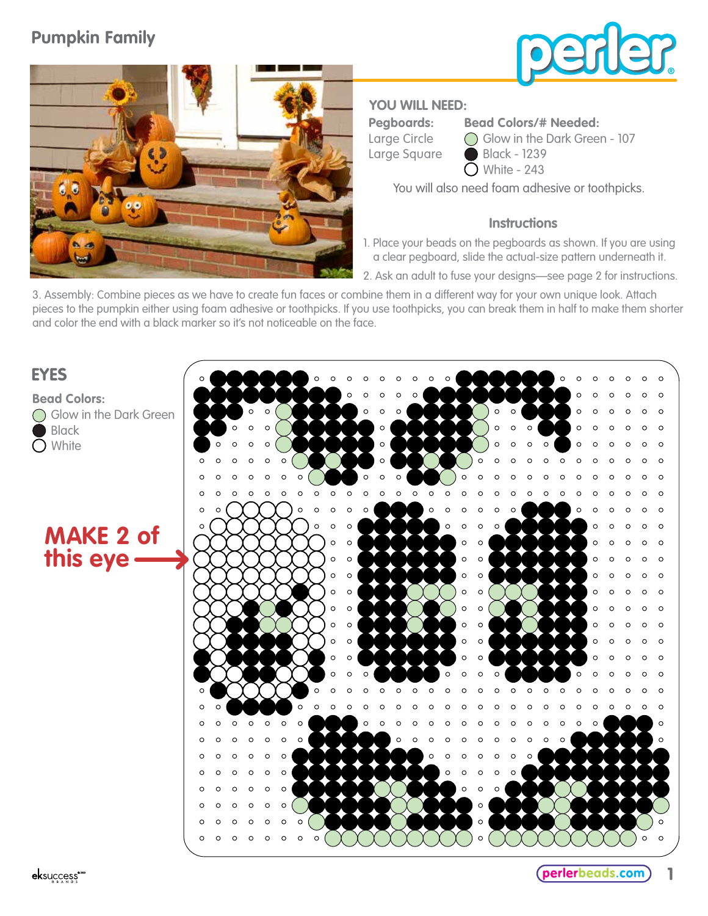# **Pumpkin Family**





## **YOU WILL NEED:**

**Pegboards:** Large Circle Large Square **Bead Colors/# Needed:**

Glow in the Dark Green - 107 Black - 1239  $\bigcirc$  White - 243

You will also need foam adhesive or toothpicks.

### **Instructions**

1. Place your beads on the pegboards as shown. If you are using a clear pegboard, slide the actual-size pattern underneath it.

2. Ask an adult to fuse your designs—see page 2 for instructions.

3. Assembly: Combine pieces as we have to create fun faces or combine them in a different way for your own unique look. Attach pieces to the pumpkin either using foam adhesive or toothpicks. If you use toothpicks, you can break them in half to make them shorter and color the end with a black marker so it's not noticeable on the face.

# **EYES**

**Bead Colors:** Glow in the Dark Green Black  $\bigcap$  White



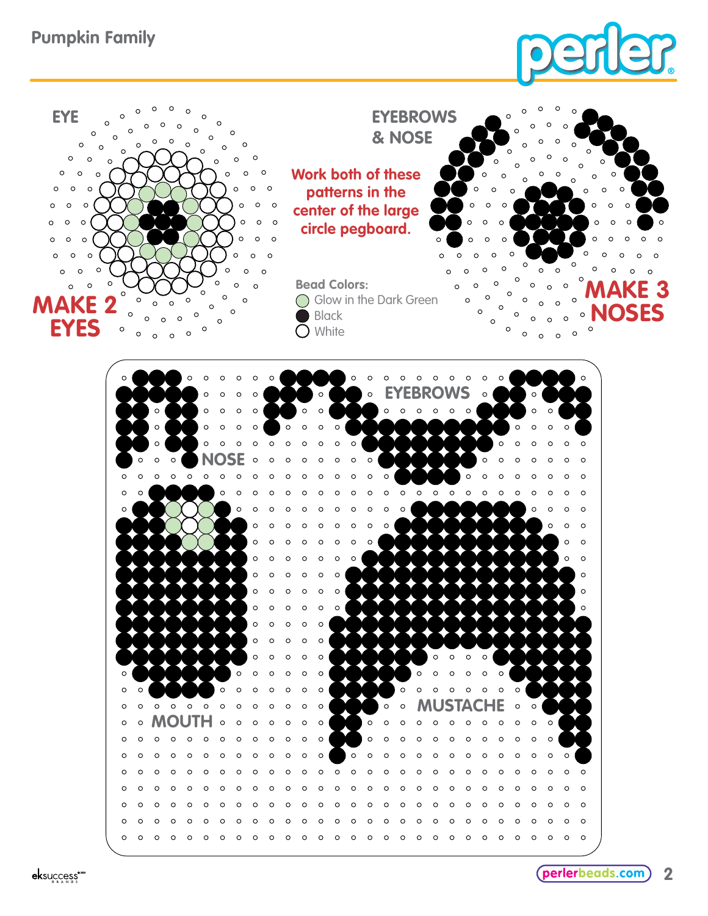



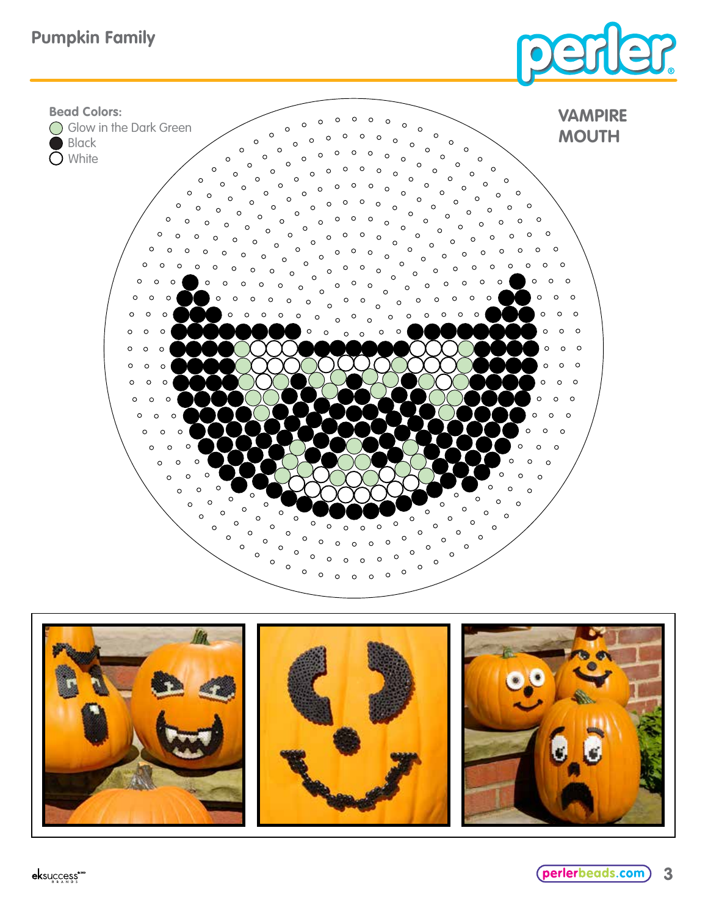# **Pumpkin Family**





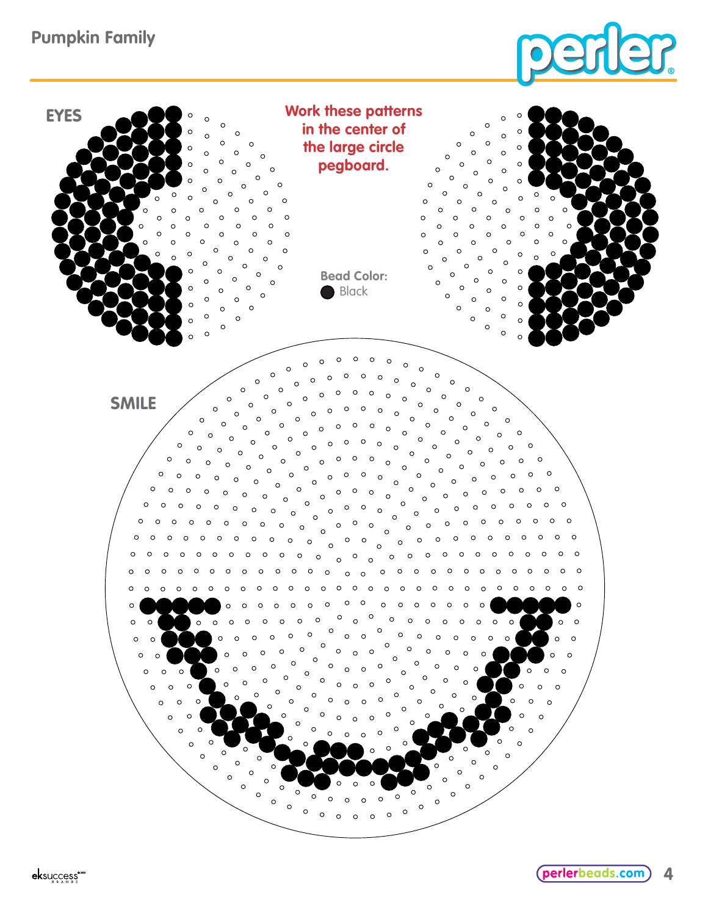